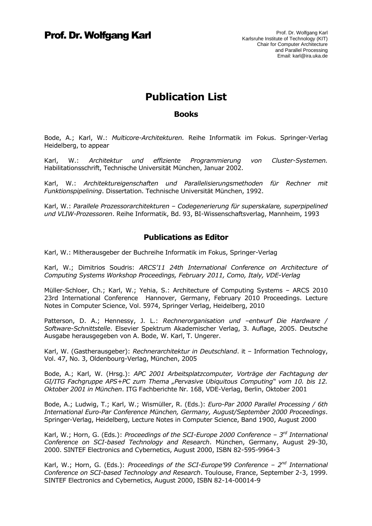# **Publication List**

#### **Books**

Bode, A.; Karl, W.: *Multicore-Architekturen.* Reihe Informatik im Fokus. Springer-Verlag Heidelberg, to appear

Karl, W.: *Architektur und effiziente Programmierung von Cluster-Systemen.* Habilitationsschrift, Technische Universität München, Januar 2002.

Karl, W.: *Architektureigenschaften und Parallelisierungsmethoden für Rechner mit Funktionspipelining*. Dissertation. Technische Universität München, 1992.

Karl, W.: *Parallele Prozessorarchitekturen – Codegenerierung für superskalare, superpipelined und VLIW-Prozessoren*. Reihe Informatik, Bd. 93, BI-Wissenschaftsverlag, Mannheim, 1993

### **Publications as Editor**

Karl, W.: Mitherausgeber der Buchreihe Informatik im Fokus, Springer-Verlag

Karl, W.; Dimitrios Soudris: *ARCS'11 24th International Conference on Architecture of Computing Systems Workshop Proceedings, February 2011, Como, Italy, VDE-Verlag*

Müller-Schloer, Ch.; Karl, W.; Yehia, S.: Architecture of Computing Systems – ARCS 2010 23rd International Conference Hannover, Germany, February 2010 Proceedings. Lecture Notes in Computer Science, Vol. 5974, Springer Verlag, Heidelberg, 2010

Patterson, D. A.; Hennessy, J. L.: *Rechnerorganisation und –entwurf Die Hardware / Software-Schnittstelle*. Elsevier Spektrum Akademischer Verlag, 3. Auflage, 2005. Deutsche Ausgabe herausgegeben von A. Bode, W. Karl, T. Ungerer.

Karl, W. (Gastherausgeber): *Rechnerarchitektur in Deutschland*. it – Information Technology, Vol. 47, No. 3, Oldenbourg-Verlag, München, 2005

Bode, A.; Karl, W. (Hrsg.): *APC 2001 Arbeitsplatzcomputer, Vorträge der Fachtagung der*  GI/ITG Fachgruppe APS+PC zum Thema "Pervasive Ubiquitous Computing" vom 10. bis 12. *Oktober 2001 in München*. ITG Fachberichte Nr. 168, VDE-Verlag, Berlin, Oktober 2001

Bode, A.; Ludwig, T.; Karl, W.; Wismüller, R. (Eds.): *Euro-Par 2000 Parallel Processing / 6th International Euro-Par Conference München, Germany, August/September 2000 Proceedings*. Springer-Verlag, Heidelberg, Lecture Notes in Computer Science, Band 1900, August 2000

Karl, W.; Horn, G. (Eds.): *Proceedings of the SCI-Europe 2000 Conference – 3 rd International Conference on SCI-based Technology and Research*. München, Germany, August 29-30, 2000. SINTEF Electronics and Cybernetics, August 2000, ISBN 82-595-9964-3

Karl, W.; Horn, G. (Eds.): *Proceedings of the SCI-Europe'*99 Conference - 2<sup>nd</sup> International *Conference on SCI-based Technology and Research*. Toulouse, France, September 2-3, 1999. SINTEF Electronics and Cybernetics, August 2000, ISBN 82-14-00014-9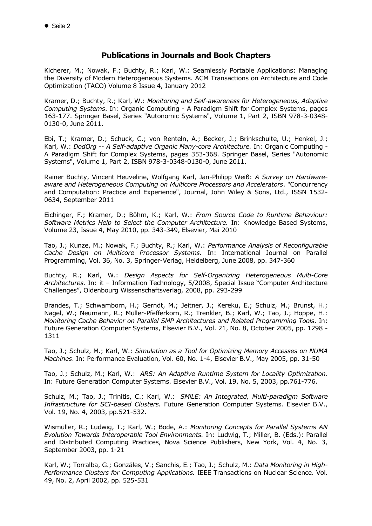### **Publications in Journals and Book Chapters**

Kicherer, M.; Nowak, F.; Buchty, R.; Karl, W.: Seamlessly Portable Applications: Managing the Diversity of Modern Heterogeneous Systems. ACM Transactions on Architecture and Code Optimization (TACO) Volume 8 Issue 4, January 2012

Kramer, D.; Buchty, R.; Karl, W.: *Monitoring and Self-awareness for Heterogeneous, Adaptive Computing Systems*. In: Organic Computing - A Paradigm Shift for Complex Systems, pages 163-177. Springer Basel, Series "Autonomic Systems", Volume 1, Part 2, ISBN 978-3-0348- 0130-0, June 2011.

Ebi, T.; Kramer, D.; Schuck, C.; von Renteln, A.; Becker, J.; Brinkschulte, U.; Henkel, J.; Karl, W.: *DodOrg -- A Self-adaptive Organic Many-core Architecture.* In: Organic Computing - A Paradigm Shift for Complex Systems, pages 353-368. Springer Basel, Series "Autonomic Systems", Volume 1, Part 2, ISBN 978-3-0348-0130-0, June 2011.

Rainer Buchty, Vincent Heuveline, Wolfgang Karl, Jan-Philipp Weiß: *A Survey on Hardwareaware and Heterogeneous Computing on Multicore Processors and Accelerators*. "Concurrency and Computation: Practice and Experience", Journal, John Wiley & Sons, Ltd., ISSN 1532- 0634, September 2011

Eichinger, F.; Kramer, D.; Böhm, K.; Karl, W.: *From Source Code to Runtime Behaviour: Software Metrics Help to Select the Computer Architecture.* In: Knowledge Based Systems, Volume 23, Issue 4, May 2010, pp. 343-349, Elsevier, Mai 2010

Tao, J.; Kunze, M.; Nowak, F.; Buchty, R.; Karl, W.: *Performance Analysis of Reconfigurable Cache Design on Multicore Processor Systems.* In: International Journal on Parallel Programming, Vol. 36, No. 3, Springer-Verlag, Heidelberg, June 2008, pp. 347-360

Buchty, R.; Karl, W.: *Design Aspects for Self-Organizing Heterogeneous Multi-Core Architectures.* In: it – Information Technology, 5/2008, Special Issue "Computer Architecture Challenges", Oldenbourg Wissenschaftsverlag, 2008, pp. 293-299

Brandes, T.; Schwamborn, H.; Gerndt, M.; Jeitner, J.; Kereku, E.; Schulz, M.; Brunst, H.; Nagel, W.; Neumann, R.; Müller-Pfefferkorn, R.; Trenkler, B.; Karl, W.; Tao, J.; Hoppe, H.: *Monitoring Cache Behavior on Parallel SMP Architectures and Related Programming Tools*. In: Future Generation Computer Systems, Elsevier B.V., Vol. 21, No. 8, October 2005, pp. 1298 - 1311

Tao, J.; Schulz, M.; Karl, W.: *Simulation as a Tool for Optimizing Memory Accesses on NUMA Machines*. In: Performance Evaluation, Vol. 60, No. 1-4, Elsevier B.V., May 2005, pp. 31-50

Tao, J.; Schulz, M.; Karl, W.: *ARS: An Adaptive Runtime System for Locality Optimization.* In: Future Generation Computer Systems. Elsevier B.V., Vol. 19, No. 5, 2003, pp.761-776.

Schulz, M.; Tao, J.; Trinitis, C.; Karl, W.: *SMiLE: An Integrated, Multi-paradigm Software Infrastructure for SCI-based Clusters.* Future Generation Computer Systems. Elsevier B.V., Vol. 19, No. 4, 2003, pp.521-532.

Wismüller, R.; Ludwig, T.; Karl, W.; Bode, A.: *Monitoring Concepts for Parallel Systems AN Evolution Towards Interoperable Tool Environments.* In: Ludwig, T.; Miller, B. (Eds.): Parallel and Distributed Computing Practices, Nova Science Publishers, New York, Vol. 4, No. 3, September 2003, pp. 1-21

Karl, W.; Torralba, G.; Gonzáles, V.; Sanchis, E.; Tao, J.; Schulz, M.: *Data Monitoring in High-Performance Clusters for Computing Applications.* IEEE Transactions on Nuclear Science. Vol. 49, No. 2, April 2002, pp. 525-531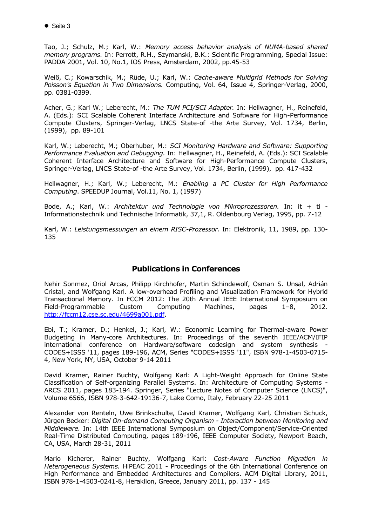Tao, J.; Schulz, M.; Karl, W.: *Memory access behavior analysis of NUMA-based shared memory programs.* In: Perrott, R.H., Szymanski, B.K.: Scientific Programming, Special Issue: PADDA 2001, Vol. 10, No.1, IOS Press, Amsterdam, 2002, pp.45-53

Weiß, C.; Kowarschik, M.; Rüde, U.; Karl, W.: *Cache-aware Multigrid Methods for Solving Poisson's Equation in Two Dimensions.* Computing, Vol. 64, Issue 4, Springer-Verlag, 2000, pp. 0381-0399.

Acher, G.; Karl W.; Leberecht, M.: *The TUM PCI/SCI Adapter.* In: Hellwagner, H., Reinefeld, A. (Eds.): SCI Scalable Coherent Interface Architecture and Software for High-Performance Compute Clusters, Springer-Verlag, LNCS State-of -the Arte Survey, Vol. 1734, Berlin, (1999), pp. 89-101

Karl, W.; Leberecht, M.; Oberhuber, M.: *SCI Monitoring Hardware and Software: Supporting Performance Evaluation and Debugging.* In: Hellwagner, H., Reinefeld, A. (Eds.): SCI Scalable Coherent Interface Architecture and Software for High-Performance Compute Clusters, Springer-Verlag, LNCS State-of -the Arte Survey, Vol. 1734, Berlin, (1999), pp. 417-432

Hellwagner, H.; Karl, W.; Leberecht, M.: *Enabling a PC Cluster for High Performance Computing*. SPEEDUP Journal, Vol.11, No. 1, (1997)

Bode, A.; Karl, W.: *Architektur und Technologie von Mikroprozessoren.* In: it + ti - Informationstechnik und Technische Informatik, 37,1, R. Oldenbourg Verlag, 1995, pp. 7-12

Karl, W.: *Leistungsmessungen an einem RISC-Prozessor.* In: Elektronik, 11, 1989, pp. 130- 135

### **Publications in Conferences**

Nehir Sonmez, Oriol Arcas, Philipp Kirchhofer, Martin Schindewolf, Osman S. Unsal, Adrián Cristal, and Wolfgang Karl. A low-overhead Profiling and Visualization Framework for Hybrid Transactional Memory. In FCCM 2012: The 20th Annual IEEE International Symposium on Field-Programmable Custom Computing Machines, pages 1–8, 2012. [http://fccm12.cse.sc.edu/4699a001.pdf.](http://fccm12.cse.sc.edu/4699a001.pdf)

Ebi, T.; Kramer, D.; Henkel, J.; Karl, W.: Economic Learning for Thermal-aware Power Budgeting in Many-core Architectures. In: Proceedings of the seventh IEEE/ACM/IFIP international conference on Hardware/software codesign and system synthesis - CODES+ISSS '11, pages 189-196, ACM, Series "CODES+ISSS '11", ISBN 978-1-4503-0715- 4, New York, NY, USA, October 9-14 2011

David Kramer, Rainer Buchty, Wolfgang Karl: A Light-Weight Approach for Online State Classification of Self-organizing Parallel Systems. In: Architecture of Computing Systems - ARCS 2011, pages 183-194. Springer, Series "Lecture Notes of Computer Science (LNCS)", Volume 6566, ISBN 978-3-642-19136-7, Lake Como, Italy, February 22-25 2011

Alexander von Renteln, Uwe Brinkschulte, David Kramer, Wolfgang Karl, Christian Schuck, Jürgen Becker: *Digital On-demand Computing Organism - Interaction between Monitoring and Middleware.* In: 14th IEEE International Symposium on Object/Component/Service-Oriented Real-Time Distributed Computing, pages 189-196, IEEE Computer Society, Newport Beach, CA, USA, March 28-31, 2011

Mario Kicherer, Rainer Buchty, Wolfgang Karl: *Cost-Aware Function Migration in Heterogeneous Systems.* HiPEAC 2011 - Proceedings of the 6th International Conference on High Performance and Embedded Architectures and Compilers. ACM Digital Library, 2011, ISBN 978-1-4503-0241-8, Heraklion, Greece, January 2011, pp. 137 - 145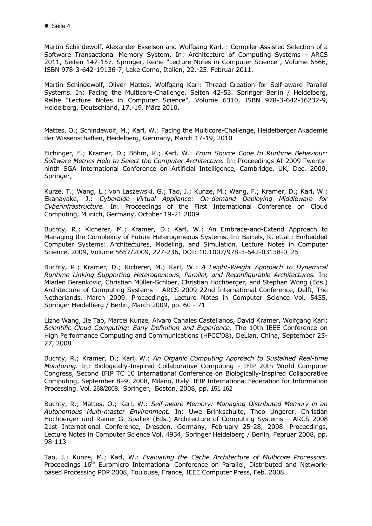Martin Schindewolf, Alexander Esselson and Wolfgang Karl. : Compiler-Assisted Selection of a Software Transactional Memory System. In: Architecture of Computing Systems - ARCS 2011, Seiten 147-157. Springer, Reihe "Lecture Notes in Computer Science", Volume 6566, ISBN 978-3-642-19136-7, Lake Como, Italien, 22.-25. Februar 2011.

Martin Schindewolf, Oliver Mattes, Wolfgang Karl: Thread Creation for Self-aware Parallel Systems. In: Facing the Multicore-Challenge, Seiten 42-53. Springer Berlin / Heidelberg, Reihe "Lecture Notes in Computer Science", Volume 6310, ISBN 978-3-642-16232-9, Heidelberg, Deutschland, 17.-19. März 2010.

Mattes, O.; Schindewolf, M.; Karl, W.: Facing the Multicore-Challenge, Heidelberger Akademie der Wissenschaften, Heidelberg, Germany, March 17-19, 2010

Eichinger, F.; Kramer, D.; Böhm, K.; Karl, W.: *From Source Code to Runtime Behaviour: Software Metrics Help to Select the Computer Architecture.* In: Proceedings AI-2009 Twentyninth SGA International Conference on Artificial Intelligence, Cambridge, UK, Dec. 2009, Springer,

Kurze, T.; Wang, L.; von Laszewski, G.; Tao, J.; Kunze, M.; Wang, F.; Kramer, D.; Karl, W.; Ekanayake, J.: *Cyberaide Virtual Appliance: On-demand Deploying Middleware for Cyberinfrastructure.* In: Proceedings of the First International Conference on Cloud Computing, Munich, Germany, October 19-21 2009

Buchty, R.; Kicherer, M.; Kramer, D.; Karl, W.: An Embrace-and-Extend Approach to Managing the Complexity of Future Heterogeneous Systems. In: Bartels, K. et.al.: Embedded Computer Systems: Architectures, Modeling, and Simulation. Lecture Notes in Computer Science, 2009, Volume 5657/2009, 227-236, DOI: 10.1007/978-3-642-03138-0\_25

Buchty, R.; Kramer, D.; Kicherer, M.; Karl, W.: *A Leight-Weight Approach to Dynamical Runtime Linking Supporting Heterogeneous, Parallel, and Reconfigurable Architectures.* In: Mladen Berenkovic, Christian Müller-Schloer, Christian Hochberger, and Stephan Wong (Eds.) Architecture of Computing Systems – ARCS 2009 22nd International Conference, Delft, The Netherlands, March 2009. Proceedings, Lecture Notes in Computer Science Vol. 5455, Springer Heidelberg / Berlin, March 2009, pp. 60 - 71

Lizhe Wang, Jie Tao, Marcel Kunze, Alvaro Canales Castellanos, David Kramer, Wolfgang Karl: *Scientific Cloud Computing: Early Definition and Experience.* The 10th IEEE Conference on High Performance Computing and Communications (HPCC'08), DeLian, China, September 25- 27, 2008

Buchty, R.; Kramer, D.; Karl, W.: *An Organic Computing Approach to Sustained Real-time Monitoring.* In: Biologically-Inspired Collaborative Computing - IFIP 20th World Computer Congress, Second IFIP TC 10 International Conference on Biologically-Inspired Collaborative Computing, September 8–9, 2008, Milano, Italy. IFIP International Federation for Information Processing. Vol. 268/2008, Springer, Boston, 2008, pp. 151-162

Buchty, R.; Mattes, O.; Karl, W.: *Self-aware Memory: Managing Distributed Memory in an Autonomous Multi-master Environment.* In: Uwe Brinkschulte, Theo Ungerer, Christian Hochberger und Rainer G. Spallek (Eds.) Architecture of Computing Systems – ARCS 2008 21st International Conference, Dresden, Germany, February 25-28, 2008. Proceedings, Lecture Notes in Computer Science Vol. 4934, Springer Heidelberg / Berlin, Februar 2008, pp. 98-113

Tao, J.; Kunze, M.; Karl, W.: *Evaluating the Cache Architecture of Multicore Processors*. Proceedings 16<sup>th</sup> Euromicro International Conference on Parallel, Distributed and Networkbased Processing PDP 2008, Toulouse, France, IEEE Computer Press, Feb. 2008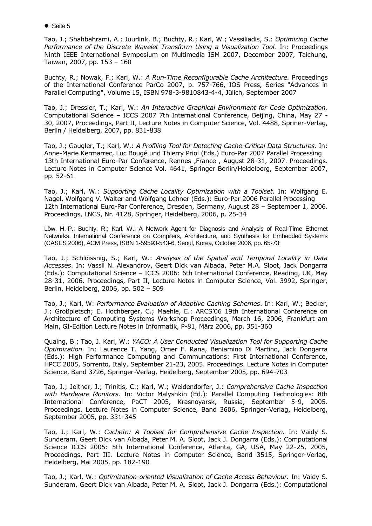● Seite 5

Tao, J.; Shahbahrami, A.; Juurlink, B.; Buchty, R.; Karl, W.; Vassiliadis, S.: *Optimizing Cache Performance of the Discrete Wavelet Transform Using a Visualization Tool.* In: Proceedings Ninth IEEE International Symposium on Multimedia ISM 2007, December 2007, Taichung, Taiwan, 2007, pp. 153 – 160

Buchty, R.; Nowak, F.; Karl, W.: *A Run-Time Reconfigurable Cache Architecture.* Proceedings of the International Conference ParCo 2007, p. 757-766, IOS Press, Series "Advances in Parallel Computing", Volume 15, ISBN 978-3-9810843-4-4, Jülich, September 2007

Tao, J.; Dressler, T.; Karl, W.: *An Interactive Graphical Environment for Code Optimization.* Computational Science – ICCS 2007 7th International Conference, Beijing, China, May 27 - 30, 2007, Proceedings, Part II, Lecture Notes in Computer Science, Vol. 4488, Spriner-Verlag, Berlin / Heidelberg, 2007, pp. 831-838

Tao, J.; Gaugler, T.; Karl, W.: *A Profiling Tool for Detecting Cache-Critical Data Structures.* In: Anne-Marie Kermarrec, Luc Bougé und Thierry Priol (Eds.) Euro-Par 2007 Parallel Processing 13th International Euro-Par Conference, Rennes ,France , August 28-31, 2007. Proceedings. Lecture Notes in Computer Science Vol. 4641, Springer Berlin/Heidelberg, September 2007, pp. 52-61

Tao, J.; Karl, W.: *Supporting Cache Locality Optimization with a Toolset.* In: Wolfgang E. Nagel, Wolfgang V. Walter and Wolfgang Lehner (Eds.): Euro-Par 2006 Parallel Processing 12th International Euro-Par Conference, Dresden, Germany, August 28 – September 1, 2006. Proceedings, LNCS, Nr. 4128, Springer, Heidelberg, 2006, p. 25-34

Löw, H.-P.; Buchty, R.; Karl, W.: A Network Agent for Diagnosis and Analysis of Real-Time Ethernet Networks. International Conference on Compilers, Architecture, and Synthesis for Embedded Systems (CASES 2006), ACM Press, ISBN 1-59593-543-6, Seoul, Korea, October 2006, pp. 65-73

Tao, J.; Schloissnig, S.; Karl, W.: *Analysis of the Spatial and Temporal Locality in Data Accesses*. In: Vassil N. Alexandrov, Geert Dick van Albada, Peter M.A. Sloot, Jack Dongarra (Eds.): Computational Science – ICCS 2006: 6th International Conference, Reading, UK, May 28-31, 2006. Proceedings, Part II, Lecture Notes in Computer Science, Vol. 3992, Springer, Berlin, Heidelberg, 2006, pp. 502 – 509

Tao, J.; Karl, W: *Performance Evaluation of Adaptive Caching Schemes*. In: Karl, W.; Becker, J.; Großpietsch; E. Hochberger, C.; Maehle, E.: ARCS'06 19th International Conference on Architecture of Computing Systems Workshop Proceedings, March 16, 2006, Frankfurt am Main, GI-Edition Lecture Notes in Informatik, P-81, März 2006, pp. 351-360

Quaing, B.; Tao, J. Karl, W.: *YACO: A User Conducted Visualization Tool for Supporting Cache Optimization.* In: Laurence T. Yang, Omer F. Rana, Beniamino Di Martino, Jack Dongarra (Eds.): High Performance Computing and Communcations: First International Conference, HPCC 2005, Sorrento, Italy, September 21-23, 2005. Proceedings. Lecture Notes in Computer Science, Band 3726, Springer-Verlag, Heidelberg, September 2005, pp. 694-703

Tao, J.; Jeitner, J.; Trinitis, C.; Karl, W.; Weidendorfer, J.: *Comprehensive Cache Inspection with Hardware Monitors.* In: Victor Malyshkin (Ed.): Parallel Computing Technologies: 8th International Conference, PaCT 2005, Krasnoyarsk, Russia, September 5-9, 2005. Proceedings. Lecture Notes in Computer Science, Band 3606, Springer-Verlag, Heidelberg, September 2005, pp. 331-345

Tao, J.; Karl, W.: *CacheIn: A Toolset for Comprehensive Cache Inspection.* In: Vaidy S. Sunderam, Geert Dick van Albada, Peter M. A. Sloot, Jack J. Dongarra (Eds.): Computational Science ICCS 2005: 5th International Conference, Atlanta, GA, USA, May 22-25, 2005, Proceedings, Part III. Lecture Notes in Computer Science, Band 3515, Springer-Verlag, Heidelberg, Mai 2005, pp. 182-190

Tao, J.; Karl, W.: *Optimization-oriented Visualization of Cache Access Behaviour.* In: Vaidy S. Sunderam, Geert Dick van Albada, Peter M. A. Sloot, Jack J. Dongarra (Eds.): Computational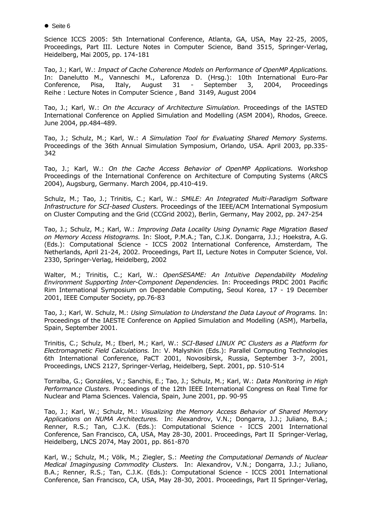● Seite 6

Science ICCS 2005: 5th International Conference, Atlanta, GA, USA, May 22-25, 2005, Proceedings, Part III. Lecture Notes in Computer Science, Band 3515, Springer-Verlag, Heidelberg, Mai 2005, pp. 174-181

Tao, J.; Karl, W.: *Impact of Cache Coherence Models on Performance of OpenMP Applications.*  In: Danelutto M., Vanneschi M., Laforenza D. (Hrsg.): 10th International Euro-Par Conference, Pisa, Italy, August 31 - September 3, 2004, Proceedings Reihe : Lecture Notes in Computer Science , Band 3149, August 2004

Tao, J.; Karl, W.: *On the Accuracy of Architecture Simulation.* Proceedings of the IASTED International Conference on Applied Simulation and Modelling (ASM 2004), Rhodos, Greece. June 2004, pp.484-489.

Tao, J.; Schulz, M.; Karl, W.: *A Simulation Tool for Evaluating Shared Memory Systems.*  Proceedings of the 36th Annual Simulation Symposium, Orlando, USA. April 2003, pp.335- 342

Tao, J.; Karl, W.: *On the Cache Access Behavior of OpenMP Applications.* Workshop Proceedings of the International Conference on Architecture of Computing Systems (ARCS 2004), Augsburg, Germany. March 2004, pp.410-419.

Schulz, M.; Tao, J.; Trinitis, C.; Karl, W.: *SMiLE: An Integrated Multi-Paradigm Software Infrastructure for SCI-based Clusters.* Proceedings of the IEEE/ACM International Symposium on Cluster Computing and the Grid (CCGrid 2002), Berlin, Germany, May 2002, pp. 247-254

Tao, J.; Schulz, M.; Karl, W.: *Improving Data Locality Using Dynamic Page Migration Based on Memory Access Histograms.* In: Sloot, P.M.A.; Tan, C.J.K. Dongarra, J.J.; Hoekstra, A.G. (Eds.): Computational Science - ICCS 2002 International Conference, Amsterdam, The Netherlands, April 21-24, 2002. Proceedings, Part II, Lecture Notes in Computer Science, Vol. 2330, Springer-Verlag, Heidelberg, 2002

Walter, M.; Trinitis, C.; Karl, W.: *OpenSESAME: An Intuitive Dependability Modeling Environment Supporting Inter-Component Dependencies.* In: Proceedings PRDC 2001 Pacific Rim International Symposium on Dependable Computing, Seoul Korea, 17 - 19 December 2001, IEEE Computer Society, pp.76-83

Tao, J.; Karl, W. Schulz, M.: *Using Simulation to Understand the Data Layout of Programs.* In: Proceedings of the IAESTE Conference on Applied Simulation and Modelling (ASM), Marbella, Spain, September 2001.

Trinitis, C.; Schulz, M.; Eberl, M.; Karl, W.: *SCI-Based LINUX PC Clusters as a Platform for Electromagnetic Field Calculations.* In: V. Malyshkin (Eds.): Parallel Computing Technologies 6th International Conference, PaCT 2001, Novosibirsk, Russia, September 3-7, 2001, Proceedings, LNCS 2127, Springer-Verlag, Heidelberg, Sept. 2001, pp. 510-514

Torralba, G.; Gonzáles, V.; Sanchis, E.; Tao, J.; Schulz, M.; Karl, W.: *Data Monitoring in High Performance Clusters.* Proceedings of the 12th IEEE International Congress on Real Time for Nuclear and Plama Sciences. Valencia, Spain, June 2001, pp. 90-95

Tao, J.; Karl, W.; Schulz, M.: *Visualizing the Memory Access Behavior of Shared Memory Applications on NUMA Architectures.* In: Alexandrov, V.N.; Dongarra, J.J.; Juliano, B.A.; Renner, R.S.; Tan, C.J.K. (Eds.): Computational Science - ICCS 2001 International Conference, San Francisco, CA, USA, May 28-30, 2001. Proceedings, Part II Springer-Verlag, Heidelberg, LNCS 2074, May 2001, pp. 861-870

Karl, W.; Schulz, M.; Völk, M.; Ziegler, S.: *Meeting the Computational Demands of Nuclear Medical Imagingusing Commodity Clusters.* In: Alexandrov, V.N.; Dongarra, J.J.; Juliano, B.A.; Renner, R.S.; Tan, C.J.K. (Eds.): Computational Science - ICCS 2001 International Conference, San Francisco, CA, USA, May 28-30, 2001. Proceedings, Part II Springer-Verlag,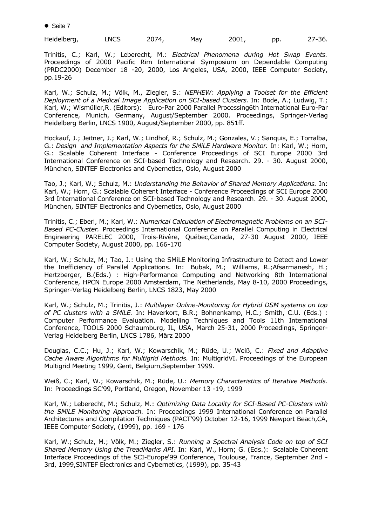● Seite 7

| Heidelberg, | _NCS | 2074, | Mav | 2001, | pp. | $27 - 36.$ |
|-------------|------|-------|-----|-------|-----|------------|
|             |      |       |     |       |     |            |

Trinitis, C.; Karl, W.; Leberecht, M.: *Electrical Phenomena during Hot Swap Events.*  Proceedings of 2000 Pacific Rim International Symposium on Dependable Computing (PRDC2000) December 18 -20, 2000, Los Angeles, USA, 2000, IEEE Computer Society, pp.19-26

Karl, W.; Schulz, M.; Völk, M., Ziegler, S.: *NEPHEW: Applying a Toolset for the Efficient Deployment of a Medical Image Application on SCI-based Clusters.* In: Bode, A.; Ludwig, T.; Karl, W.; Wismüller,R. (Editors): Euro-Par 2000 Parallel Processing6th International Euro-Par Conference, Munich, Germany, August/September 2000. Proceedings, Springer-Verlag Heidelberg Berlin, LNCS 1900, August/September 2000, pp. 851ff.

Hockauf, J.; Jeitner, J.; Karl, W.; Lindhof, R.; Schulz, M.; Gonzales, V.; Sanquis, E.; Torralba, G.: *Design and Implementation Aspects for the SMiLE Hardware Monitor.* In: Karl, W.; Horn, G.: Scalable Coherent Interface - Conference Proceedings of SCI Europe 2000 3rd International Conference on SCI-based Technology and Research. 29. - 30. August 2000, München, SINTEF Electronics and Cybernetics, Oslo, August 2000

Tao, J.; Karl, W.; Schulz, M.: *Understanding the Behavior of Shared Memory Applications.* In: Karl, W.; Horn, G.: Scalable Coherent Interface - Conference Proceedings of SCI Europe 2000 3rd International Conference on SCI-based Technology and Research. 29. - 30. August 2000, München, SINTEF Electronics and Cybernetics, Oslo, August 2000

Trinitis, C.; Eberl, M.; Karl, W.: *Numerical Calculation of Electromagnetic Problems on an SCI-Based PC-Cluster.* Proceedings International Conference on Parallel Computing in Electrical Engineering PARELEC 2000, Trois-Rivère, Québec,Canada, 27-30 August 2000, IEEE Computer Society, August 2000, pp. 166-170

Karl, W.; Schulz, M.; Tao, J.: Using the SMiLE Monitoring Infrastructure to Detect and Lower the Inefficiency of Parallel Applications. In: Bubak, M.; Williams, R.;Afsarmanesh, H.; Hertzberger, B.(Eds.) : High-Performance Computing and Networking 8th International Conference, HPCN Europe 2000 Amsterdam, The Netherlands, May 8-10, 2000 Proceedings, Springer-Verlag Heidelberg Berlin, LNCS 1823, May 2000

Karl, W.; Schulz, M.; Trinitis, J.: *Multilayer Online-Monitoring for Hybrid DSM systems on top of PC clusters with a SMiLE.* In: Haverkort, B.R.; Bohnenkamp, H.C.; Smith, C.U. (Eds.) : Computer Performance Evaluation. Modelling Techniques and Tools 11th International Conference, TOOLS 2000 Schaumburg, IL, USA, March 25-31, 2000 Proceedings, Springer-Verlag Heidelberg Berlin, LNCS 1786, März 2000

Douglas, C.C.; Hu, J.; Karl, W.; Kowarschik, M.; Rüde, U.; Weiß, C.: *Fixed and Adaptive Cache Aware Algorithms for Multigrid Methods.* In: MultigridVI. Proceedings of the European Multigrid Meeting 1999, Gent, Belgium,September 1999.

Weiß, C.; Karl, W.; Kowarschik, M.; Rüde, U.: *Memory Characteristics of Iterative Methods.*  In: Proceedings SC'99, Portland, Oregon, November 13 -19, 1999

Karl, W.; Leberecht, M.; Schulz, M.: *Optimizing Data Locality for SCI-Based PC-Clusters with the SMiLE Monitoring Approach.* In: Proceedings 1999 International Conference on Parallel Architectures and Compilation Techniques (PACT'99) October 12-16, 1999 Newport Beach,CA, IEEE Computer Society, (1999), pp. 169 - 176

Karl, W.; Schulz, M.; Völk, M.; Ziegler, S.: *Running a Spectral Analysis Code on top of SCI Shared Memory Using the TreadMarks API.* In: Karl, W., Horn; G. (Eds.): Scalable Coherent Interface Proceedings of the SCI-Europe'99 Conference, Toulouse, France, September 2nd - 3rd, 1999,SINTEF Electronics and Cybernetics, (1999), pp. 35-43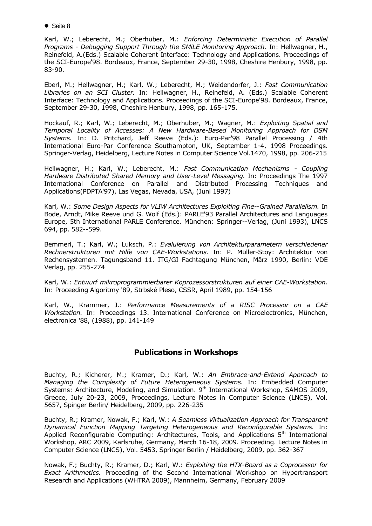● Seite 8

Karl, W.; Leberecht, M.; Oberhuber, M.: *Enforcing Deterministic Execution of Parallel Programs - Debugging Support Through the SMiLE Monitoring Approach.* In: Hellwagner, H., Reinefeld, A.(Eds.) Scalable Coherent Interface: Technology and Applications. Proceedings of the SCI-Europe'98. Bordeaux, France, September 29-30, 1998, Cheshire Henbury, 1998, pp. 83-90.

Eberl, M.; Hellwagner, H.; Karl, W.; Leberecht, M.; Weidendorfer, J.: *Fast Communication Libraries on an SCI Cluster.* In: Hellwagner, H., Reinefeld, A. (Eds.) Scalable Coherent Interface: Technology and Applications. Proceedings of the SCI-Europe'98. Bordeaux, France, September 29-30, 1998, Cheshire Henbury, 1998, pp. 165-175.

Hockauf, R.; Karl, W.; Leberecht, M.; Oberhuber, M.; Wagner, M.: *Exploiting Spatial and Temporal Locality of Accesses: A New Hardware-Based Monitoring Approach for DSM Systems.* In: D. Pritchard, Jeff Reeve (Eds.): Euro-Par'98 Parallel Processing / 4th International Euro-Par Conference Southampton, UK, September 1-4, 1998 Proceedings. Springer-Verlag, Heidelberg, Lecture Notes in Computer Science Vol.1470, 1998, pp. 206-215

Hellwagner, H.; Karl, W.; Leberecht, M.: *Fast Communication Mechanisms - Coupling Hardware Distributed Shared Memory and User-Level Messaging.* In: Proceedings The 1997 International Conference on Parallel and Distributed Processing Techniques and Applications(PDPTA'97), Las Vegas, Nevada, USA, (Juni 1997)

Karl, W.: *Some Design Aspects for VLIW Architectures Exploiting Fine--Grained Parallelism.* In Bode, Arndt, Mike Reeve und G. Wolf (Eds.): PARLE'93 Parallel Architectures and Languages Europe, 5th International PARLE Conference. München: Springer--Verlag, (Juni 1993), LNCS 694, pp. 582--599.

Bemmerl, T.; Karl, W.; Luksch, P.: *Evaluierung von Architekturparametern verschiedener Rechnerstrukturen mit Hilfe von CAE-Workstations.* In: P. Müller-Stoy: Architektur von Rechensystemen. Tagungsband 11. ITG/GI Fachtagung München, März 1990, Berlin: VDE Verlag, pp. 255-274

Karl, W.: *Entwurf mikroprogrammierbarer Koprozessorstrukturen auf einer CAE-Workstation.* In: Proceeding Algoritmy '89, Strbské Pleso, CSSR, April 1989, pp. 154-156

Karl, W., Krammer, J.: *Performance Measurements of a RISC Processor on a CAE Workstation.* In: Proceedings 13. International Conference on Microelectronics, München, electronica '88, (1988), pp. 141-149

## **Publications in Workshops**

Buchty, R.; Kicherer, M.; Kramer, D.; Karl, W.: *An Embrace-and-Extend Approach to Managing the Complexity of Future Heterogeneous Systems.* In: Embedded Computer Systems: Architecture, Modeling, and Simulation. 9<sup>th</sup> International Workshop, SAMOS 2009, Greece, July 20-23, 2009, Proceedings, Lecture Notes in Computer Science (LNCS), Vol. 5657, Spinger Berlin/ Heidelberg, 2009, pp. 226-235

Buchty, R.; Kramer, Nowak, F.; Karl, W.: *A Seamless Virtualization Approach for Transparent Dynamical Function Mapping Targeting Heterogeneous and Reconfigurable Systems.* In: Applied Reconfigurable Computing: Architectures, Tools, and Applications  $5<sup>th</sup>$  International Workshop, ARC 2009, Karlsruhe, Germany, March 16-18, 2009. Proceeding. Lecture Notes in Computer Science (LNCS), Vol. 5453, Springer Berlin / Heidelberg, 2009, pp. 362-367

Nowak, F.; Buchty, R.; Kramer, D.; Karl, W.: *Exploiting the HTX-Board as a Coprocessor for Exact Arithmetics.* Proceeding of the Second International Workshop on Hypertransport Research and Applications (WHTRA 2009), Mannheim, Germany, February 2009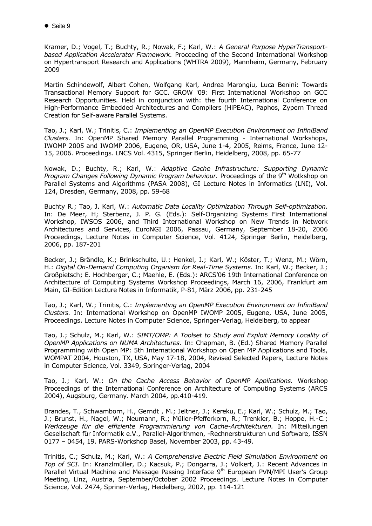Kramer, D.; Vogel, T.; Buchty, R.; Nowak, F.; Karl, W.: *A General Purpose HyperTransportbased Application Accelerator Framework.* Proceeding of the Second International Workshop on Hypertransport Research and Applications (WHTRA 2009), Mannheim, Germany, February 2009

Martin Schindewolf, Albert Cohen, Wolfgang Karl, Andrea Marongiu, Luca Benini: Towards Transactional Memory Support for GCC. GROW '09: First International Workshop on GCC Research Opportunities. Held in conjunction with: the fourth International Conference on High-Performance Embedded Architectures and Compilers (HiPEAC), Paphos, Zypern Thread Creation for Self-aware Parallel Systems.

Tao, J.; Karl, W.; Trinitis, C.: *Implementing an OpenMP Execution Environment on InfiniBand Clusters.* In: OpenMP Shared Memory Parallel Programming - International Workshops, IWOMP 2005 and IWOMP 2006, Eugene, OR, USA, June 1-4, 2005, Reims, France, June 12- 15, 2006. Proceedings. LNCS Vol. 4315, Springer Berlin, Heidelberg, 2008, pp. 65-77

Nowak, D.; Buchty, R.; Karl, W.: *Adaptive Cache Infrastructure: Supporting Dynamic Program Changes Following Dynamic Program behaviour.* Proceedings of the 9<sup>th</sup> Wotkshop on Parallel Systems and Algorithms (PASA 2008), GI Lecture Notes in Informatics (LNI), Vol. 124, Dresden, Germany, 2008, pp. 59-68

Buchty R.; Tao, J. Karl, W.: *Automatic Data Locality Optimization Through Self-optimization.* In: De Meer, H; Sterbenz, J. P. G. (Eds.): Self-Organizing Systems First International Workshop, IWSOS 2006, and Third International Workshop on New Trends in Network Architectures and Services, EuroNGI 2006, Passau, Germany, September 18-20, 2006 Proceedings, Lecture Notes in Computer Science, Vol. 4124, Springer Berlin, Heidelberg, 2006, pp. 187-201

Becker, J.; Brändle, K.; Brinkschulte, U.; Henkel, J.; Karl, W.; Köster, T.; Wenz, M.; Wörn, H.: *Digital On-Demand Computing Organism for Real-Time Systems*. In: Karl, W.; Becker, J.; Großpietsch; E. Hochberger, C.; Maehle, E. (Eds.): ARCS'06 19th International Conference on Architecture of Computing Systems Workshop Proceedings, March 16, 2006, Frankfurt am Main, GI-Edition Lecture Notes in Informatik, P-81, März 2006, pp. 231-245

Tao, J.; Karl, W.; Trinitis, C.: *Implementing an OpenMP Execution Environment on InfiniBand Clusters.* In: International Workshop on OpenMP IWOMP 2005, Eugene, USA, June 2005, Proceedings. Lecture Notes in Computer Science, Springer-Verlag, Heidelberg, to appear

Tao, J.; Schulz, M.; Karl, W.: *SIMT/OMP: A Toolset to Study and Exploit Memory Locality of OpenMP Applications on NUMA Architectures.* In: Chapman, B. (Ed.) Shared Memory Parallel Programming with Open MP: 5th International Workshop on Open MP Applications and Tools, WOMPAT 2004, Houston, TX, USA, May 17-18, 2004, Revised Selected Papers, Lecture Notes in Computer Science, Vol. 3349, Springer-Verlag, 2004

Tao, J.; Karl, W.: *On the Cache Access Behavior of OpenMP Applications.* Workshop Proceedings of the International Conference on Architecture of Computing Systems (ARCS 2004), Augsburg, Germany. March 2004, pp.410-419.

Brandes, T., Schwamborn, H., Gerndt , M.; Jeitner, J.; Kereku, E.; Karl, W.; Schulz, M.; Tao, J.; Brunst, H., Nagel, W.; Neumann, R.; Müller-Pfefferkorn, R.; Trenkler, B.; Hoppe, H.-C.; *Werkzeuge für die effiziente Programmierung von Cache-Architekturen.* In: Mitteilungen Gesellschaft für Informatik e.V., Parallel-Algorithmen, -Rechnerstrukturen und Software, ISSN 0177 – 0454, 19. PARS-Workshop Basel, November 2003, pp. 43-49.

Trinitis, C.; Schulz, M.; Karl, W.: *A Comprehensive Electric Field Simulation Environment on Top of SCI.* In: Kranzlmüller, D.; Kacsuk, P.; Dongarra, J.; Volkert, J.: Recent Advances in Parallel Virtual Machine and Message Passing Interface 9<sup>th</sup> European PVN/MPI User's Group Meeting, Linz, Austria, September/October 2002 Proceedings. Lecture Notes in Computer Science, Vol. 2474, Spriner-Verlag, Heidelberg, 2002, pp. 114-121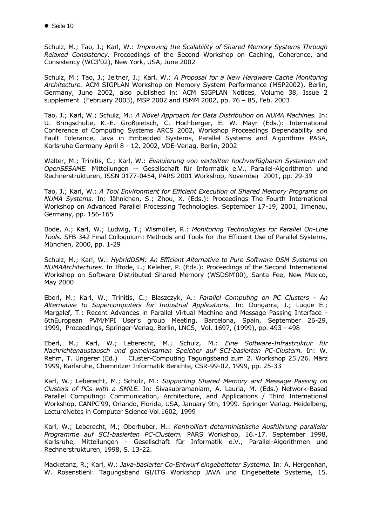Schulz, M.; Tao, J.; Karl, W.: *Improving the Scalability of Shared Memory Systems Through Relaxed Consistency.* Proceedings of the Second Workshop on Caching, Coherence, and Consistency (WC3'02), New York, USA, June 2002

Schulz, M.; Tao, J.; Jeitner, J.; Karl, W.: *A Proposal for a New Hardware Cache Monitoring Architecture.* ACM SIGPLAN Workshop on Memory System Performance (MSP2002), Berlin, Germany, June 2002, also published in: ACM SIGPLAN Notices, Volume 38, Issue 2 supplement (February 2003), MSP 2002 and ISMM 2002, pp. 76 – 85, Feb. 2003

Tao, J.; Karl, W.; Schulz, M.: *A Novel Approach for Data Distribution on NUMA Machines.* In: U. Bringschulte, K.-E. Großpietsch, C. Hochberger, E. W. Mayr (Eds.): International Conference of Computing Systems ARCS 2002, Workshop Proceedings Dependability and Fault Tolerance, Java in Embedded Systems, Parallel Systems and Algorithms PASA, Karlsruhe Germany April 8 - 12, 2002, VDE-Verlag, Berlin, 2002

Walter, M.; Trinitis, C.; Karl, W.: *Evaluierung von verteilten hochverfügbaren Systemen mit OpenSESAME.* Mitteilungen -- Gesellschaft für Informatik e.V., Parallel-Algorithmen und Rechnerstrukturen, ISSN 0177-0454, PARS 2001 Workshop, November 2001, pp. 29-39

Tao, J.; Karl, W.: *A Tool Environment for Efficient Execution of Shared Memory Programs on NUMA Systems.* In: Jähnichen, S.; Zhou, X. (Eds.): Proceedings The Fourth International Workshop on Advanced Parallel Processing Technologies. September 17-19, 2001, Ilmenau, Germany, pp. 156-165

Bode, A.; Karl, W.; Ludwig, T.; Wismüller, R.: *Monitoring Technologies for Parallel On-Line Tools.* SFB 342 Final Colloquium: Methods and Tools for the Efficient Use of Parallel Systems, München, 2000, pp. 1-29

Schulz, M.; Karl, W.: *HybridDSM: An Efficient Alternative to Pure Software DSM Systems on NUMAArchitectures.* In Iftode, L.; Keleher, P. (Eds.): Proceedings of the Second International Workshop on Software Distributed Shared Memory (WSDSM'00), Santa Fee, New Mexico, May 2000

Eberl, M.; Karl, W.; Trinitis, C.; Blaszczyk, A.: *Parallel Computing on PC Clusters - An Alternative to Supercomputers for Industrial Applications.* In: Dongarra, J.; Luque E.; Margalef, T.: Recent Advances in Parallel Virtual Machine and Message Passing Interface - 6thEuropean PVM/MPI User's group Meeting, Barcelona, Spain, September 26-29, 1999, Proceedings, Springer-Verlag, Berlin, LNCS, Vol. 1697, (1999), pp. 493 - 498

Eberl, M.; Karl, W.; Leberecht, M.; Schulz, M.: *Eine Software-Infrastruktur für Nachrichtenaustausch und gemeinsamen Speicher auf SCI-basierten PC-Clustern.* In: W. Rehm, T. Ungerer (Ed.) Cluster-Computing Tagungsband zum 2. Workshop 25./26. März 1999, Karlsruhe, Chemnitzer Informatik Berichte, CSR-99-02, 1999, pp. 25-33

Karl, W.; Leberecht, M.; Schulz, M.: *Supporting Shared Memory and Message Passing on Clusters of PCs with a SMiLE.* In: Sivasubramaniam, A. Lauria, M. (Eds.) Network-Based Parallel Computing: Communication, Architecture, and Applications / Third International Workshop, CANPC'99, Orlando, Florida, USA, January 9th, 1999. Springer Verlag, Heidelberg, LectureNotes in Computer Science Vol.1602*,* 1999

Karl, W.; Leberecht, M.; Oberhuber, M.: *Kontrolliert deterministische Ausführung paralleler Programme auf SCI-basierten PC-Clustern.* PARS Workshop, 16.-17. September 1998, Karlsruhe, Mitteilungen - Gesellschaft für Informatik e.V., Parallel-Algorithmen und Rechnerstrukturen, 1998, S. 13-22.

Macketanz, R.; Karl, W.: *Java-basierter Co-Entwurf eingebetteter Systeme.* In: A. Hergenhan, W. Rosenstiehl: Tagungsband GI/ITG Workshop JAVA und Eingebettete Systeme, 15.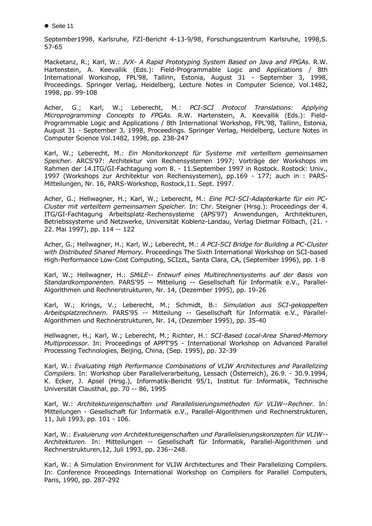● Seite 11

September1998, Karlsruhe, FZI-Bericht 4-13-9/98, Forschungszentrum Karlsruhe, 1998,S. 57-65

Macketanz, R.; Karl, W.: *JVX- A Rapid Prototyping System Based on Java and FPGAs.* R.W. Hartenstein, A. Keevallik (Eds.): Field-Programmable Logic and Applications / 8th International Workshop, FPL'98, Tallinn, Estonia, August 31 - September 3, 1998, Proceedings. Springer Verlag, Heidelberg, Lecture Notes in Computer Science, Vol.1482, 1998, pp. 99-108

Acher, G.; Karl, W.; Leberecht, M.: *PCI-SCI Protocol Translations: Applying Microprogramming Concepts to FPGAs.* R.W. Hartenstein, A. Keevallik (Eds.): Field-Programmable Logic and Applications / 8th International Workshop, FPL'98, Tallinn, Estonia, August 31 - September 3, 1998, Proceedings. Springer Verlag, Heidelberg, Lecture Notes in Computer Science Vol.1482*,* 1998, pp. 238-247

Karl, W.; Leberecht, M.: *Ein Monitorkonzept für Systeme mit verteiltem gemeinsamen Speicher.* ARCS'97: Architektur von Rechensystemen 1997; Vorträge der Workshops im Rahmen der 14.ITG/GI-Fachtagung vom 8. - 11.September 1997 in Rostock. Rostock: Univ., 1997 (Workshops zur Architektur von Rechensystemen), pp.169 - 177; auch in : PARS-Mitteilungen, Nr. 16, PARS-Workshop, Rostock,11. Sept. 1997.

Acher, G.; Hellwagner, H.; Karl, W.; Leberecht, M.: *Eine PCI-SCI-Adapterkarte für ein PC-Cluster mit verteiltem gemeinsamen Speicher.* In: Chr. Steigner (Hrsg.): Proceedings der 4. ITG/GI-Fachtagung Arbeitsplatz-Rechensysteme (APS'97) Anwendungen, Architekturen, Betriebssysteme und Netzwerke, Universität Koblenz-Landau, Verlag Dietmar Fölbach, (21. - 22. Mai 1997), pp. 114 -- 122

Acher, G.; Hellwagner, H.; Karl, W.; Leberecht, M.: *A PCI-SCI Bridge for Building a PC-Cluster with Distributed Shared Memory.* Proceedings The Sixth International Workshop on SCI-based High-Performance Low-Cost Computing, SCIzzL, Santa Clara, CA, (September 1996), pp. 1-8

Karl, W.; Hellwagner, H.: *SMiLE-- Entwurf eines Multirechnersystems auf der Basis von Standardkomponenten.* PARS'95 -- Mitteilung -- Gesellschaft für Informatik e.V., Parallel-Algorithmen und Rechnerstrukturen, Nr. 14, (Dezember 1995), pp. 19-26

Karl, W.; Krings, V.; Leberecht, M.; Schmidt, B.: *Simulation aus SCI-gekoppelten Arbeitsplatzrechnern.* PARS'95 -- Mitteilung -- Gesellschaft für Informatik e.V., Parallel-Algorithmen und Rechnerstrukturen, Nr. 14, (Dezember 1995), pp. 35-40

Hellwagner, H.; Karl, W.; Leberecht, M.; Richter, H.: *SCI-Based Local-Area Shared-Memory Multiprocessor.* In: Proceedings of APPT'95 - International Workshop on Advanced Parallel Processing Technologies, Beijing, China, (Sep. 1995), pp. 32-39

Karl, W.: *Evaluating High Performance Combinations of VLIW Architectures and Parallelizing Compilers.* In: Workshop über Parallelverarbeitung, Lessach (Österreich), 26.9. - 30.9.1994, K. Ecker, J. Apsel (Hrsg.), Informatik-Bericht 95/1, Institut für Informatik, Technische Universität Clausthal, pp. 70 -- 86, 1995

Karl, W.: *Architektureigenschaften und Parallelisierungsmethoden für VLIW--Rechner.* In: Mitteilungen - Gesellschaft für Informatik e.V., Parallel-Algorithmen und Rechnerstrukturen, 11, Juli 1993, pp. 101 - 106.

Karl, W.: *Evaluierung von Architektureigenschaften und Parallelisierungskonzepten für VLIW-- Architekturen.* In: Mitteilungen -- Gesellschaft für Informatik, Parallel-Algorithmen und Rechnerstrukturen,12, Juli 1993, pp. 236--248.

Karl, W.: A Simulation Environment for VLIW Architectures and Their Parallelizing Compilers. In: Conference Proceedings International Workshop on Compilers for Parallel Computers, Paris, 1990, pp. 287-292